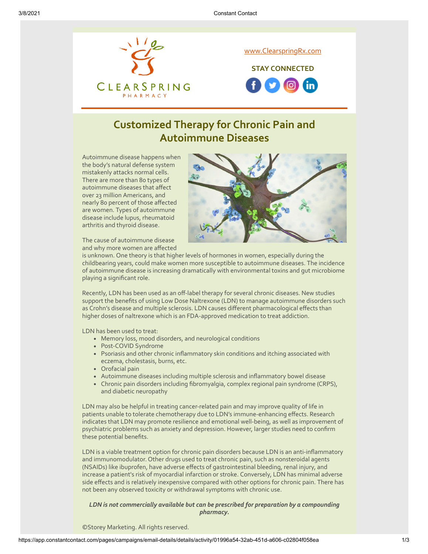

## **Customized Therapy for Chronic Pain and Autoimmune Diseases**

Autoimmune disease happens when the body's natural defense system mistakenly attacks normal cells. There are more than 80 types of autoimmune diseases that affect over 23 million Americans, and nearly 80 percent of those affected are women. Types of autoimmune disease include lupus, rheumatoid arthritis and thyroid disease.



The cause of autoimmune disease and why more women are affected

is unknown. One theory is that higher levels of hormones in women, especially during the childbearing years, could make women more susceptible to autoimmune diseases. The incidence of autoimmune disease is increasing dramatically with environmental toxins and gut microbiome playing a significant role.

Recently, LDN has been used as an off-label therapy for several chronic diseases. New studies support the benefits of using Low Dose Naltrexone (LDN) to manage autoimmune disorders such as Crohn's disease and multiple sclerosis. LDN causes different pharmacological effects than higher doses of naltrexone which is an FDA-approved medication to treat addiction.

LDN has been used to treat:

- Memory loss, mood disorders, and neurological conditions
- Post-COVID Syndrome
- Psoriasis and other chronic inflammatory skin conditions and itching associated with eczema, cholestasis, burns, etc.
- Orofacial pain
- Autoimmune diseases including multiple sclerosis and inflammatory bowel disease
- Chronic pain disorders including fibromyalgia, complex regional pain syndrome (CRPS), and diabetic neuropathy

LDN may also be helpful in treating cancer-related pain and may improve quality of life in patients unable to tolerate chemotherapy due to LDN's immune-enhancing effects. Research indicates that LDN may promote resilience and emotional well-being, as well as improvement of psychiatric problems such as anxiety and depression. However, larger studies need to confirm these potential benefits.

LDN is a viable treatment option for chronic pain disorders because LDN is an anti-inflammatory and immunomodulator. Other drugs used to treat chronic pain, such as nonsteroidal agents (NSAIDs) like ibuprofen, have adverse effects of gastrointestinal bleeding, renal injury, and increase a patient's risk of myocardial infarction or stroke. Conversely, LDN has minimal adverse side effects and is relatively inexpensive compared with other options for chronic pain. There has not been any observed toxicity or withdrawal symptoms with chronic use.

#### *LDN is not commercially available but can be prescribed for preparation by a compounding pharmacy.*

©Storey Marketing. All rights reserved.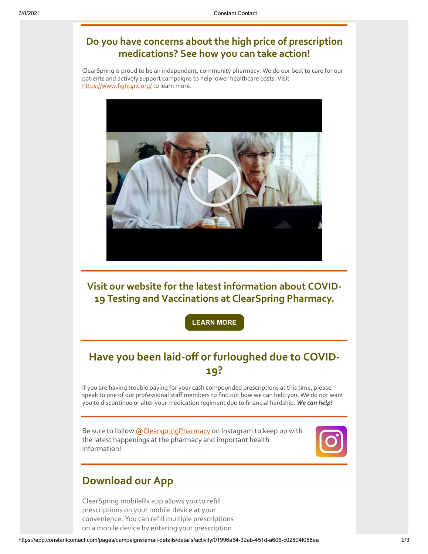#### **Do you have concerns about the high price of prescription medications? See how you can take action!**

ClearSpring is proud to be an independent, community pharmacy. We do our best to care for our patients and actively support campaigns to help lower healthcare costs. Visit <https://www.fight4rx.org/> to learn more.



**Visit our website for the latest information about COVID-19 Testing and Vaccinations at ClearSpring Pharmacy.**

**[LEARN MORE](https://clearspringrx.com/covid-19.php)**

### **Have you been laid-off or furloughed due to COVID-19?**

If you are having trouble paying for your cash compounded prescriptions at this time, please speak to one of our professional staff members to find out how we can help you. We do not want you to discontinue or alter your medication regiment due to financial hardship. *We can help!*

Be sure to follow [@ClearspringPharmacy](https://www.instagram.com/clearspringpharmacy/) on Instagram to keep up with the latest happenings at the pharmacy and important health information!



#### **Download our App**

ClearSpring mobileRx app allows you to refill prescriptions on your mobile device at your convenience. You can refill multiple prescriptions on a mobile device by entering your prescription